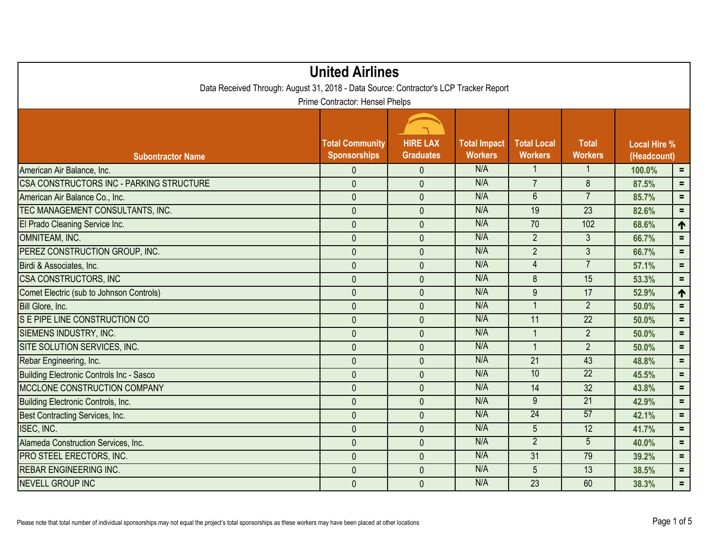| <b>United Airlines</b><br>Data Received Through: August 31, 2018 - Data Source: Contractor's LCP Tracker Report<br>Prime Contractor: Hensel Phelps |                |                |     |                 |                 |        |                 |  |
|----------------------------------------------------------------------------------------------------------------------------------------------------|----------------|----------------|-----|-----------------|-----------------|--------|-----------------|--|
|                                                                                                                                                    |                |                |     |                 |                 |        |                 |  |
| American Air Balance, Inc.                                                                                                                         | $\mathbf{0}$   | $\mathbf{0}$   | N/A | $\mathbf{1}$    | $\mathbf{1}$    | 100.0% | $=$ .           |  |
| <b>CSA CONSTRUCTORS INC - PARKING STRUCTURE</b>                                                                                                    | $\mathbf{0}$   | $\overline{0}$ | N/A | $\overline{7}$  | 8               | 87.5%  | $=$             |  |
| American Air Balance Co., Inc.                                                                                                                     | $\mathbf 0$    | $\overline{0}$ | N/A | $\overline{6}$  | $\overline{7}$  | 85.7%  | $=$ .           |  |
| TEC MANAGEMENT CONSULTANTS, INC.                                                                                                                   | $\mathbf 0$    | $\mathbf{0}$   | N/A | 19              | $\overline{23}$ | 82.6%  | $=$             |  |
| El Prado Cleaning Service Inc.                                                                                                                     | $\mathbf 0$    | $\mathbf 0$    | N/A | 70              | 102             | 68.6%  | $\blacklozenge$ |  |
| OMNITEAM, INC.                                                                                                                                     | $\mathbf{0}$   | $\overline{0}$ | N/A | $\overline{2}$  | $\mathfrak{Z}$  | 66.7%  | $\equiv$        |  |
| PEREZ CONSTRUCTION GROUP, INC.                                                                                                                     | $\mathbf{0}$   | $\mathbf{0}$   | N/A | $\overline{2}$  | $\mathfrak{Z}$  | 66.7%  | $\equiv$        |  |
| Birdi & Associates, Inc.                                                                                                                           | $\mathbf{0}$   | $\overline{0}$ | N/A | $\overline{4}$  | $\overline{7}$  | 57.1%  | $=$ .           |  |
| <b>CSA CONSTRUCTORS, INC</b>                                                                                                                       | $\mathbf 0$    | $\overline{0}$ | N/A | 8               | 15              | 53.3%  | $\equiv$        |  |
| Comet Electric (sub to Johnson Controls)                                                                                                           | $\mathbf 0$    | $\overline{0}$ | N/A | $9\,$           | 17              | 52.9%  | $\uparrow$      |  |
| Bill Glore, Inc.                                                                                                                                   | $\overline{0}$ | $\overline{0}$ | N/A | $\mathbf{1}$    | $\overline{2}$  | 50.0%  | $=$             |  |
| S E PIPE LINE CONSTRUCTION CO                                                                                                                      | $\mathbf 0$    | $\mathbf{0}$   | N/A | 11              | 22              | 50.0%  | $=$             |  |
| SIEMENS INDUSTRY, INC.                                                                                                                             | $\mathbf{0}$   | $\overline{0}$ | N/A | $\mathbf{1}$    | $\overline{2}$  | 50.0%  | $=$             |  |
| SITE SOLUTION SERVICES, INC.                                                                                                                       | $\overline{0}$ | $\overline{0}$ | N/A | $\mathbf{1}$    | $\overline{2}$  | 50.0%  | $=$ .           |  |
| Rebar Engineering, Inc.                                                                                                                            | $\mathbf 0$    | $\mathbf 0$    | N/A | 21              | 43              | 48.8%  | $=$             |  |
| Building Electronic Controls Inc - Sasco                                                                                                           | $\mathbf 0$    | $\overline{0}$ | N/A | 10              | 22              | 45.5%  | $=$             |  |
| MCCLONE CONSTRUCTION COMPANY                                                                                                                       | $\overline{0}$ | $\overline{0}$ | N/A | 14              | 32              | 43.8%  | $=$             |  |
| Building Electronic Controls, Inc.                                                                                                                 | $\mathbf 0$    | $\mathbf{0}$   | N/A | $\overline{9}$  | $\overline{21}$ | 42.9%  | $=$             |  |
| Best Contracting Services, Inc.                                                                                                                    | $\mathbf 0$    | $\mathbf 0$    | N/A | 24              | 57              | 42.1%  | $=$             |  |
| ISEC, INC.                                                                                                                                         | $\mathbf 0$    | $\mathbf{0}$   | N/A | 5               | 12              | 41.7%  | $=$             |  |
| Alameda Construction Services, Inc.                                                                                                                | $\mathbf 0$    | $\overline{0}$ | N/A | $\overline{2}$  | $\overline{5}$  | 40.0%  | $\equiv$        |  |
| PRO STEEL ERECTORS, INC.                                                                                                                           | $\overline{0}$ | $\overline{0}$ | N/A | $\overline{31}$ | 79              | 39.2%  | $=$             |  |
| <b>REBAR ENGINEERING INC.</b>                                                                                                                      | $\mathbf 0$    | $\overline{0}$ | N/A | 5               | 13              | 38.5%  | $=$             |  |
| <b>NEVELL GROUP INC</b>                                                                                                                            | $\mathbf 0$    | $\overline{0}$ | N/A | 23              | 60              | 38.3%  | $=$             |  |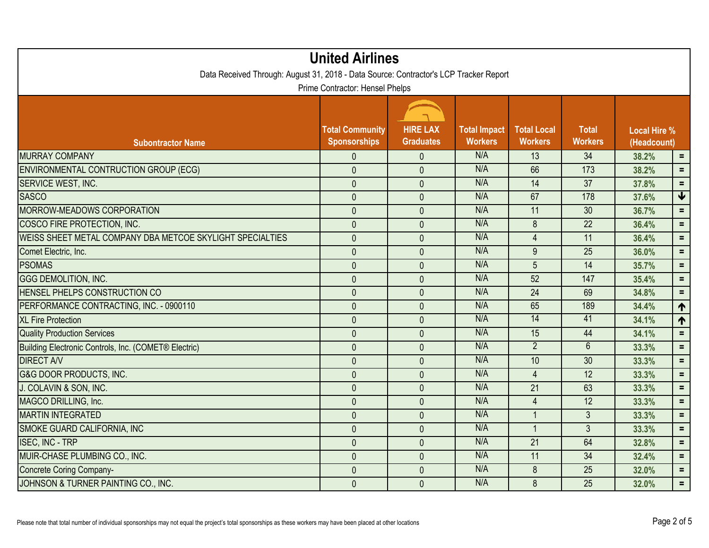| <b>United Airlines</b><br>Data Received Through: August 31, 2018 - Data Source: Contractor's LCP Tracker Report |                                               |                                     |                                       |                                      |                                |                                    |                 |  |
|-----------------------------------------------------------------------------------------------------------------|-----------------------------------------------|-------------------------------------|---------------------------------------|--------------------------------------|--------------------------------|------------------------------------|-----------------|--|
| Prime Contractor: Hensel Phelps                                                                                 |                                               |                                     |                                       |                                      |                                |                                    |                 |  |
| <b>Subontractor Name</b>                                                                                        | <b>Total Community</b><br><b>Sponsorships</b> | <b>HIRE LAX</b><br><b>Graduates</b> | <b>Total Impact</b><br><b>Workers</b> | <b>Total Local</b><br><b>Workers</b> | <b>Total</b><br><b>Workers</b> | <b>Local Hire %</b><br>(Headcount) |                 |  |
| <b>MURRAY COMPANY</b>                                                                                           | $\mathbf{0}$                                  | $\mathbf{0}$                        | N/A                                   | 13                                   | 34                             | 38.2%                              | $\equiv$        |  |
| <b>ENVIRONMENTAL CONTRUCTION GROUP (ECG)</b>                                                                    | $\overline{0}$                                | $\mathbf{0}$                        | N/A                                   | 66                                   | 173                            | 38.2%                              | $\equiv$        |  |
| SERVICE WEST, INC.                                                                                              | $\mathbf 0$                                   | $\mathbf 0$                         | N/A                                   | 14                                   | 37                             | 37.8%                              | $\equiv$        |  |
| <b>SASCO</b>                                                                                                    | $\mathbf{0}$                                  | $\mathbf{0}$                        | N/A                                   | 67                                   | 178                            | 37.6%                              | $\blacklozenge$ |  |
| MORROW-MEADOWS CORPORATION                                                                                      | $\overline{0}$                                | $\mathbf{0}$                        | N/A                                   | 11                                   | 30                             | 36.7%                              | $=$ .           |  |
| COSCO FIRE PROTECTION, INC.                                                                                     | $\mathbf 0$                                   | $\mathbf{0}$                        | N/A                                   | 8                                    | $\overline{22}$                | 36.4%                              | $=$             |  |
| <b>WEISS SHEET METAL COMPANY DBA METCOE SKYLIGHT SPECIALTIES</b>                                                | $\mathbf 0$                                   | $\mathbf{0}$                        | N/A                                   | $\overline{4}$                       | 11                             | 36.4%                              | $=$             |  |
| Comet Electric, Inc.                                                                                            | $\mathbf{0}$                                  | $\mathbf{0}$                        | N/A                                   | 9                                    | 25                             | 36.0%                              | $=$             |  |
| <b>PSOMAS</b>                                                                                                   | $\overline{0}$                                | $\mathbf{0}$                        | N/A                                   | 5                                    | 14                             | 35.7%                              | $=$             |  |
| <b>GGG DEMOLITION, INC.</b>                                                                                     | $\mathbf 0$                                   | $\mathbf{0}$                        | N/A                                   | 52                                   | 147                            | 35.4%                              | $=$ .           |  |
| <b>HENSEL PHELPS CONSTRUCTION CO</b>                                                                            | $\overline{0}$                                | $\mathbf{0}$                        | N/A                                   | 24                                   | 69                             | 34.8%                              | $\equiv$        |  |
| PERFORMANCE CONTRACTING, INC. - 0900110                                                                         | $\mathbf{0}$                                  | $\mathbf{0}$                        | N/A                                   | 65                                   | 189                            | 34.4%                              | $\blacklozenge$ |  |
| <b>XL Fire Protection</b>                                                                                       | $\mathbf 0$                                   | $\mathbf{0}$                        | N/A                                   | 14                                   | 41                             | 34.1%                              | $\blacklozenge$ |  |
| <b>Quality Production Services</b>                                                                              | $\mathbf 0$                                   | $\mathbf{0}$                        | N/A                                   | 15                                   | 44                             | 34.1%                              | $\equiv$        |  |
| Building Electronic Controls, Inc. (COMET® Electric)                                                            | $\mathbf{0}$                                  | $\mathbf{0}$                        | N/A                                   | $\overline{2}$                       | $6\overline{6}$                | 33.3%                              | $=$             |  |
| <b>DIRECT A/V</b>                                                                                               | $\overline{0}$                                | $\overline{0}$                      | N/A                                   | 10                                   | 30                             | 33.3%                              | $=$             |  |
| <b>G&amp;G DOOR PRODUCTS, INC.</b>                                                                              | $\mathbf{0}$                                  | $\mathbf{0}$                        | N/A                                   | $\overline{4}$                       | 12                             | 33.3%                              | $\equiv$        |  |
| J. COLAVIN & SON, INC.                                                                                          | $\mathbf{0}$                                  | $\mathbf{0}$                        | N/A                                   | 21                                   | 63                             | 33.3%                              | $\equiv$        |  |
| MAGCO DRILLING, Inc.                                                                                            | $\mathbf{0}$                                  | $\mathbf{0}$                        | N/A                                   | $\overline{4}$                       | 12                             | 33.3%                              | $=$             |  |
| <b>MARTIN INTEGRATED</b>                                                                                        | $\mathbf 0$                                   | $\mathbf 0$                         | N/A                                   | $\overline{1}$                       | $\mathfrak{Z}$                 | 33.3%                              | $=$ .           |  |
| SMOKE GUARD CALIFORNIA, INC                                                                                     | $\mathbf{0}$                                  | $\overline{0}$                      | N/A                                   | $\overline{1}$                       | $\mathfrak{Z}$                 | 33.3%                              | $\equiv$        |  |
| <b>ISEC, INC - TRP</b>                                                                                          | $\overline{0}$                                | $\mathbf{0}$                        | N/A                                   | 21                                   | 64                             | 32.8%                              | $=$             |  |
| MUIR-CHASE PLUMBING CO., INC.                                                                                   | $\mathbf{0}$                                  | $\mathbf{0}$                        | N/A                                   | 11                                   | $\overline{34}$                | 32.4%                              | $\equiv$        |  |
| Concrete Coring Company-                                                                                        | $\mathbf 0$                                   | $\mathbf{0}$                        | N/A                                   | 8                                    | 25                             | 32.0%                              | $=$             |  |
| JOHNSON & TURNER PAINTING CO., INC.                                                                             | $\mathbf{0}$                                  | $\mathbf{0}$                        | N/A                                   | 8                                    | 25                             | 32.0%                              | $\equiv$ .      |  |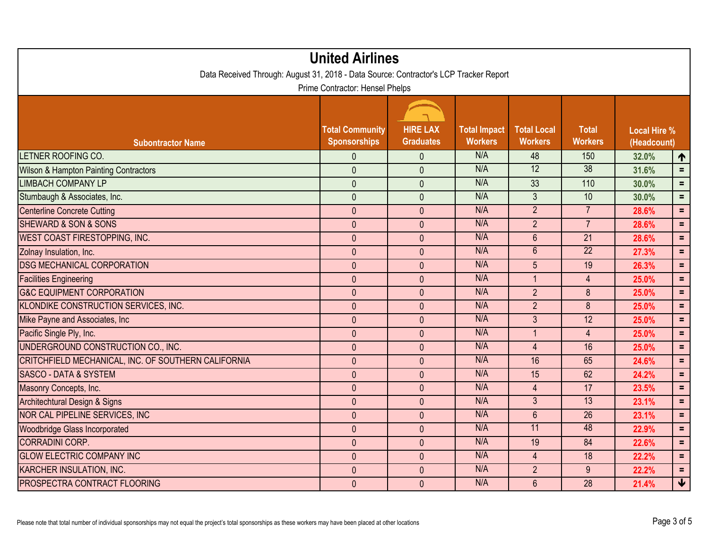| <b>United Airlines</b><br>Data Received Through: August 31, 2018 - Data Source: Contractor's LCP Tracker Report |                                               |                                     |                                       |                                      |                                |                                    |                         |  |
|-----------------------------------------------------------------------------------------------------------------|-----------------------------------------------|-------------------------------------|---------------------------------------|--------------------------------------|--------------------------------|------------------------------------|-------------------------|--|
| Prime Contractor: Hensel Phelps                                                                                 |                                               |                                     |                                       |                                      |                                |                                    |                         |  |
| <b>Subontractor Name</b>                                                                                        | <b>Total Community</b><br><b>Sponsorships</b> | <b>HIRE LAX</b><br><b>Graduates</b> | <b>Total Impact</b><br><b>Workers</b> | <b>Total Local</b><br><b>Workers</b> | <b>Total</b><br><b>Workers</b> | <b>Local Hire %</b><br>(Headcount) |                         |  |
| LETNER ROOFING CO.                                                                                              | $\overline{0}$                                | $\mathbf{0}$                        | N/A                                   | 48                                   | 150                            | 32.0%                              | $\blacklozenge$         |  |
| <b>Wilson &amp; Hampton Painting Contractors</b>                                                                | $\mathbf{0}$                                  | $\overline{0}$                      | N/A                                   | $\overline{12}$                      | $\overline{38}$                | 31.6%                              | $=$                     |  |
| <b>LIMBACH COMPANY LP</b>                                                                                       | $\mathbf 0$                                   | $\mathbf 0$                         | N/A                                   | 33                                   | 110                            | 30.0%                              | $\equiv$                |  |
| Stumbaugh & Associates, Inc.                                                                                    | $\mathbf{0}$                                  | $\overline{0}$                      | N/A                                   | $\mathfrak{Z}$                       | 10                             | 30.0%                              | $=$ .                   |  |
| <b>Centerline Concrete Cutting</b>                                                                              | $\mathbf{0}$                                  | $\overline{0}$                      | N/A                                   | $\overline{2}$                       | $\overline{7}$                 | 28.6%                              | $\equiv$ .              |  |
| <b>SHEWARD &amp; SON &amp; SONS</b>                                                                             | $\mathbf 0$                                   | $\mathbf 0$                         | N/A                                   | $\overline{2}$                       | $\overline{7}$                 | 28.6%                              | $=$                     |  |
| WEST COAST FIRESTOPPING, INC.                                                                                   | $\mathbf{0}$                                  | $\mathbf{0}$                        | N/A                                   | $6\,$                                | 21                             | 28.6%                              | $\equiv$                |  |
| Zolnay Insulation, Inc.                                                                                         | $\mathbf{0}$                                  | $\overline{0}$                      | N/A                                   | 6                                    | $\overline{22}$                | 27.3%                              | $\equiv$                |  |
| <b>DSG MECHANICAL CORPORATION</b>                                                                               | $\mathbf{0}$                                  | $\overline{0}$                      | N/A                                   | $5\phantom{.}$                       | 19                             | 26.3%                              | $\equiv$                |  |
| <b>Facilities Engineering</b>                                                                                   | $\mathbf{0}$                                  | $\overline{0}$                      | N/A                                   | $\overline{1}$                       | $\overline{4}$                 | 25.0%                              | $\equiv$                |  |
| <b>G&amp;C EQUIPMENT CORPORATION</b>                                                                            | $\mathbf{0}$                                  | $\mathbf{0}$                        | N/A                                   | $\overline{2}$                       | 8                              | 25.0%                              | $=$ .                   |  |
| KLONDIKE CONSTRUCTION SERVICES, INC.                                                                            | $\overline{0}$                                | $\overline{0}$                      | N/A                                   | $\overline{2}$                       | 8                              | 25.0%                              | $=$                     |  |
| Mike Payne and Associates, Inc.                                                                                 | $\mathbf{0}$                                  | $\overline{0}$                      | N/A                                   | $\mathfrak{Z}$                       | 12                             | 25.0%                              | $=$                     |  |
| Pacific Single Ply, Inc.                                                                                        | $\mathbf 0$                                   | $\mathbf{0}$                        | N/A                                   | $\mathbf{1}$                         | $\overline{4}$                 | 25.0%                              | $\equiv$                |  |
| UNDERGROUND CONSTRUCTION CO., INC.                                                                              | $\overline{0}$                                | $\overline{0}$                      | N/A                                   | $\overline{4}$                       | 16                             | 25.0%                              | $=$ .                   |  |
| CRITCHFIELD MECHANICAL, INC. OF SOUTHERN CALIFORNIA                                                             | $\mathbf{0}$                                  | $\overline{0}$                      | N/A                                   | 16                                   | 65                             | 24.6%                              | $\equiv$                |  |
| <b>SASCO - DATA &amp; SYSTEM</b>                                                                                | $\mathbf{0}$                                  | $\overline{0}$                      | N/A                                   | 15                                   | 62                             | 24.2%                              | $\equiv$                |  |
| Masonry Concepts, Inc.                                                                                          | $\mathbf{0}$                                  | $\overline{0}$                      | N/A                                   | $\overline{4}$                       | 17                             | 23.5%                              | $\equiv$                |  |
| Architechtural Design & Signs                                                                                   | $\mathbf{0}$                                  | $\overline{0}$                      | N/A                                   | $\overline{3}$                       | 13                             | 23.1%                              | $=$ .                   |  |
| NOR CAL PIPELINE SERVICES, INC                                                                                  | $\mathbf{0}$                                  | $\mathbf 0$                         | N/A                                   | $6\phantom{1}$                       | 26                             | 23.1%                              | $=$                     |  |
| <b>Woodbridge Glass Incorporated</b>                                                                            | $\mathbf{0}$                                  | $\overline{0}$                      | N/A                                   | 11                                   | 48                             | 22.9%                              | $\equiv$                |  |
| <b>CORRADINI CORP.</b>                                                                                          | $\mathbf{0}$                                  | $\overline{0}$                      | N/A                                   | 19                                   | 84                             | 22.6%                              | $\equiv$                |  |
| <b>GLOW ELECTRIC COMPANY INC</b>                                                                                | $\overline{0}$                                | $\overline{0}$                      | N/A                                   | $\overline{4}$                       | $\overline{18}$                | 22.2%                              | $\equiv$                |  |
| KARCHER INSULATION, INC.                                                                                        | $\mathbf 0$                                   | $\mathbf{0}$                        | N/A                                   | $\overline{2}$                       | 9                              | 22.2%                              | $\equiv$                |  |
| <b>PROSPECTRA CONTRACT FLOORING</b>                                                                             | $\mathbf{0}$                                  | $\overline{0}$                      | N/A                                   | $6\phantom{1}$                       | 28                             | 21.4%                              | $\overline{\mathbf{r}}$ |  |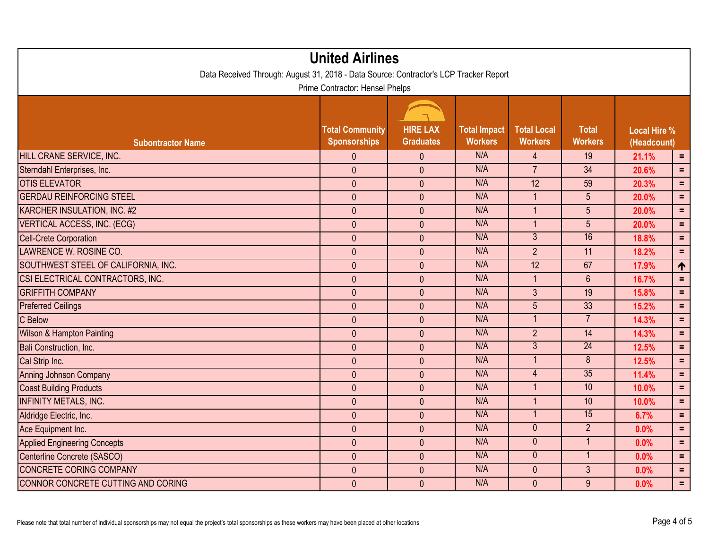| <b>United Airlines</b><br>Data Received Through: August 31, 2018 - Data Source: Contractor's LCP Tracker Report |                                               |                                     |                                       |                                      |                                |                                    |            |  |
|-----------------------------------------------------------------------------------------------------------------|-----------------------------------------------|-------------------------------------|---------------------------------------|--------------------------------------|--------------------------------|------------------------------------|------------|--|
| Prime Contractor: Hensel Phelps                                                                                 |                                               |                                     |                                       |                                      |                                |                                    |            |  |
| <b>Subontractor Name</b>                                                                                        | <b>Total Community</b><br><b>Sponsorships</b> | <b>HIRE LAX</b><br><b>Graduates</b> | <b>Total Impact</b><br><b>Workers</b> | <b>Total Local</b><br><b>Workers</b> | <b>Total</b><br><b>Workers</b> | <b>Local Hire %</b><br>(Headcount) |            |  |
| HILL CRANE SERVICE, INC.                                                                                        | $\mathbf{0}$                                  | $\mathbf 0$                         | N/A                                   | $\overline{4}$                       | 19                             | 21.1%                              | $=$ .      |  |
| Sterndahl Enterprises, Inc.                                                                                     | $\mathbf{0}$                                  | $\overline{0}$                      | N/A                                   | $\overline{7}$                       | 34                             | 20.6%                              | $\equiv$   |  |
| <b>OTIS ELEVATOR</b>                                                                                            | $\mathbf{0}$                                  | $\overline{0}$                      | N/A                                   | $\overline{12}$                      | 59                             | 20.3%                              | $\equiv$   |  |
| <b>GERDAU REINFORCING STEEL</b>                                                                                 | $\mathbf{0}$                                  | $\mathbf{0}$                        | N/A                                   | $\overline{1}$                       | 5                              | 20.0%                              | $=$        |  |
| KARCHER INSULATION, INC. #2                                                                                     | $\mathbf{0}$                                  | $\overline{0}$                      | N/A                                   | $\overline{1}$                       | 5                              | 20.0%                              | $\equiv$   |  |
| <b>VERTICAL ACCESS, INC. (ECG)</b>                                                                              | $\pmb{0}$                                     | $\mathbf 0$                         | N/A                                   | $\overline{1}$                       | 5                              | 20.0%                              | $=$        |  |
| <b>Cell-Crete Corporation</b>                                                                                   | $\pmb{0}$                                     | $\overline{0}$                      | N/A                                   | $\overline{3}$                       | 16                             | 18.8%                              | $\equiv$   |  |
| LAWRENCE W. ROSINE CO.                                                                                          | $\mathbf{0}$                                  | $\mathbf{0}$                        | N/A                                   | $\overline{2}$                       | 11                             | 18.2%                              | $=$        |  |
| SOUTHWEST STEEL OF CALIFORNIA, INC.                                                                             | $\mathbf{0}$                                  | $\overline{0}$                      | N/A                                   | $\overline{12}$                      | 67                             | 17.9%                              | 1          |  |
| CSI ELECTRICAL CONTRACTORS, INC.                                                                                | $\mathbf 0$                                   | $\overline{0}$                      | N/A                                   | $\overline{1}$                       | $6\phantom{a}$                 | 16.7%                              | $=$        |  |
| <b>GRIFFITH COMPANY</b>                                                                                         | $\mathbf{0}$                                  | $\overline{0}$                      | N/A                                   | $\overline{3}$                       | 19                             | 15.8%                              | $\equiv$ . |  |
| <b>Preferred Ceilings</b>                                                                                       | $\overline{0}$                                | $\mathbf 0$                         | N/A                                   | 5                                    | 33                             | 15.2%                              | $=$ .      |  |
| C Below                                                                                                         | $\mathbf 0$                                   | $\mathbf{0}$                        | N/A                                   | 1                                    | $\overline{7}$                 | 14.3%                              | $\equiv$   |  |
| <b>Wilson &amp; Hampton Painting</b>                                                                            | $\mathbf{0}$                                  | $\overline{0}$                      | N/A                                   | $\overline{2}$                       | 14                             | 14.3%                              | $\equiv$   |  |
| Bali Construction, Inc.                                                                                         | $\mathbf{0}$                                  | $\overline{0}$                      | N/A                                   | $\overline{3}$                       | 24                             | 12.5%                              | $=$        |  |
| Cal Strip Inc.                                                                                                  | $\overline{0}$                                | $\overline{0}$                      | N/A                                   | $\overline{1}$                       | $\overline{8}$                 | 12.5%                              | $=$        |  |
| <b>Anning Johnson Company</b>                                                                                   | $\mathbf 0$                                   | $\mathbf 0$                         | N/A                                   | $\overline{4}$                       | 35                             | 11.4%                              | $=$ .      |  |
| <b>Coast Building Products</b>                                                                                  | $\mathbf{0}$                                  | $\overline{0}$                      | N/A                                   | $\mathbf{1}$                         | 10                             | 10.0%                              | $\equiv$   |  |
| <b>INFINITY METALS, INC.</b>                                                                                    | $\overline{0}$                                | $\overline{0}$                      | N/A                                   | $\overline{1}$                       | 10                             | 10.0%                              | $\equiv$ . |  |
| Aldridge Electric, Inc.                                                                                         | $\mathbf 0$                                   | $\mathbf{0}$                        | N/A                                   | $\overline{1}$                       | 15                             | 6.7%                               | $\equiv$   |  |
| Ace Equipment Inc.                                                                                              | $\mathbf{0}$                                  | $\mathbf{0}$                        | N/A                                   | $\overline{0}$                       | $\overline{2}$                 | 0.0%                               | $\equiv$   |  |
| <b>Applied Engineering Concepts</b>                                                                             | $\mathbf{0}$                                  | $\mathbf{0}$                        | N/A                                   | $\mathbf{0}$                         | $\mathbf{1}$                   | 0.0%                               | $=$        |  |
| Centerline Concrete (SASCO)                                                                                     | $\overline{0}$                                | $\overline{0}$                      | N/A                                   | $\mathbf{0}$                         | $\mathbf{1}$                   | 0.0%                               | $\equiv$   |  |
| <b>CONCRETE CORING COMPANY</b>                                                                                  | $\mathbf{0}$                                  | $\mathbf{0}$                        | N/A                                   | $\mathbf{0}$                         | $\mathfrak{Z}$                 | 0.0%                               | $\equiv$   |  |
| CONNOR CONCRETE CUTTING AND CORING                                                                              | $\mathbf{0}$                                  | $\mathbf{0}$                        | N/A                                   | $\mathbf{0}$                         | 9                              | 0.0%                               | $\equiv$   |  |